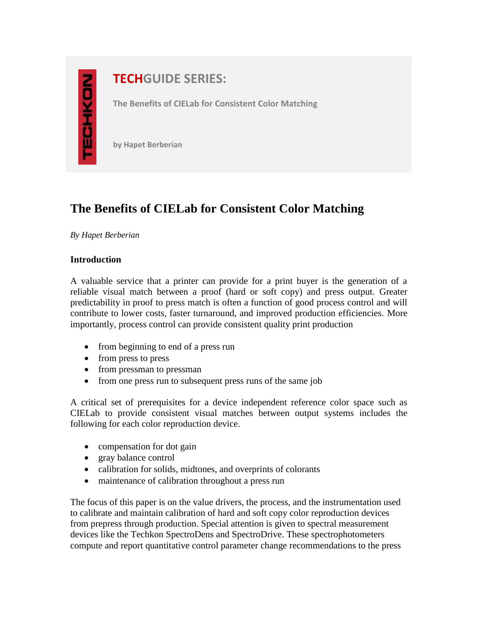# **NOXE**

# **TECHGUIDE SERIES:**

**The Benefits of CIELab for Consistent Color Matching**

**by Hapet Berberian**

# **The Benefits of CIELab for Consistent Color Matching**

*By Hapet Berberian*

### **Introduction**

A valuable service that a printer can provide for a print buyer is the generation of a reliable visual match between a proof (hard or soft copy) and press output. Greater predictability in proof to press match is often a function of good process control and will contribute to lower costs, faster turnaround, and improved production efficiencies. More importantly, process control can provide consistent quality print production

- from beginning to end of a press run
- from press to press
- from pressman to pressman
- from one press run to subsequent press runs of the same job

A critical set of prerequisites for a device independent reference color space such as CIELab to provide consistent visual matches between output systems includes the following for each color reproduction device.

- compensation for dot gain
- gray balance control
- calibration for solids, midtones, and overprints of colorants
- maintenance of calibration throughout a press run

The focus of this paper is on the value drivers, the process, and the instrumentation used to calibrate and maintain calibration of hard and soft copy color reproduction devices from prepress through production. Special attention is given to spectral measurement devices like the Techkon SpectroDens and SpectroDrive. These spectrophotometers compute and report quantitative control parameter change recommendations to the press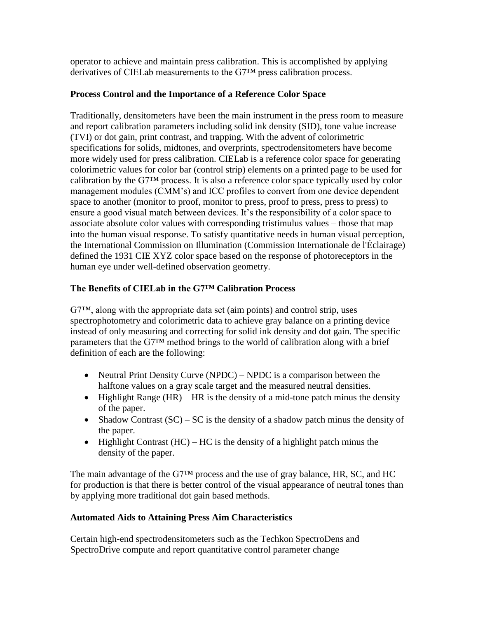operator to achieve and maintain press calibration. This is accomplished by applying derivatives of CIELab measurements to the G7™ press calibration process.

### **Process Control and the Importance of a Reference Color Space**

Traditionally, densitometers have been the main instrument in the press room to measure and report calibration parameters including solid ink density (SID), tone value increase (TVI) or dot gain, print contrast, and trapping. With the advent of colorimetric specifications for solids, midtones, and overprints, spectrodensitometers have become more widely used for press calibration. CIELab is a reference color space for generating colorimetric values for color bar (control strip) elements on a printed page to be used for calibration by the G7™ process. It is also a reference color space typically used by color management modules (CMM's) and ICC profiles to convert from one device dependent space to another (monitor to proof, monitor to press, proof to press, press to press) to ensure a good visual match between devices. It's the responsibility of a color space to associate absolute color values with corresponding tristimulus values – those that map into the human visual response. To satisfy quantitative needs in human visual perception, the International Commission on Illumination (Commission Internationale de l'Éclairage) defined the 1931 CIE XYZ color space based on the response of photoreceptors in the human eye under well-defined observation geometry.

### **The Benefits of CIELab in the G7™ Calibration Process**

G7™, along with the appropriate data set (aim points) and control strip, uses spectrophotometry and colorimetric data to achieve gray balance on a printing device instead of only measuring and correcting for solid ink density and dot gain. The specific parameters that the G7™ method brings to the world of calibration along with a brief definition of each are the following:

- Neutral Print Density Curve (NPDC) NPDC is a comparison between the halftone values on a gray scale target and the measured neutral densities.
- $\bullet$  Highlight Range (HR) HR is the density of a mid-tone patch minus the density of the paper.
- Shadow Contrast  $(SC) SC$  is the density of a shadow patch minus the density of the paper.
- $\bullet$  Highlight Contrast (HC) HC is the density of a highlight patch minus the density of the paper.

The main advantage of the G7™ process and the use of gray balance, HR, SC, and HC for production is that there is better control of the visual appearance of neutral tones than by applying more traditional dot gain based methods.

## **Automated Aids to Attaining Press Aim Characteristics**

Certain high-end spectrodensitometers such as the Techkon SpectroDens and SpectroDrive compute and report quantitative control parameter change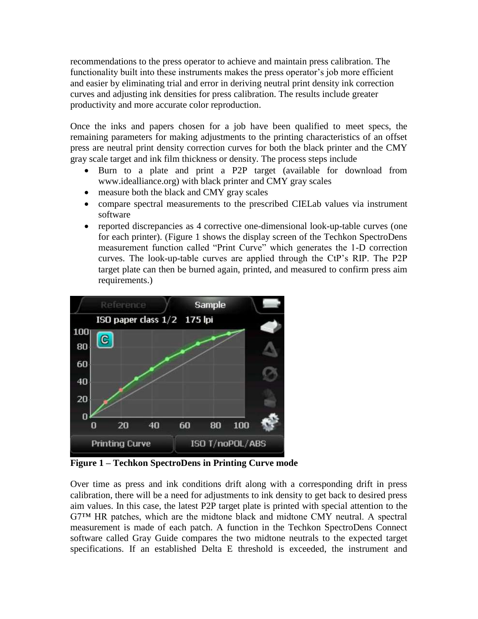recommendations to the press operator to achieve and maintain press calibration. The functionality built into these instruments makes the press operator's job more efficient and easier by eliminating trial and error in deriving neutral print density ink correction curves and adjusting ink densities for press calibration. The results include greater productivity and more accurate color reproduction.

Once the inks and papers chosen for a job have been qualified to meet specs, the remaining parameters for making adjustments to the printing characteristics of an offset press are neutral print density correction curves for both the black printer and the CMY gray scale target and ink film thickness or density. The process steps include

- Burn to a plate and print a P2P target (available for download from www.idealliance.org) with black printer and CMY gray scales
- measure both the black and CMY gray scales
- compare spectral measurements to the prescribed CIELab values via instrument software
- reported discrepancies as 4 corrective one-dimensional look-up-table curves (one for each printer). (Figure 1 shows the display screen of the Techkon SpectroDens measurement function called "Print Curve" which generates the 1-D correction curves. The look-up-table curves are applied through the CtP's RIP. The P2P target plate can then be burned again, printed, and measured to confirm press aim requirements.)



**Figure 1 – Techkon SpectroDens in Printing Curve mode**

Over time as press and ink conditions drift along with a corresponding drift in press calibration, there will be a need for adjustments to ink density to get back to desired press aim values. In this case, the latest P2P target plate is printed with special attention to the G7™ HR patches, which are the midtone black and midtone CMY neutral. A spectral measurement is made of each patch. A function in the Techkon SpectroDens Connect software called Gray Guide compares the two midtone neutrals to the expected target specifications. If an established Delta E threshold is exceeded, the instrument and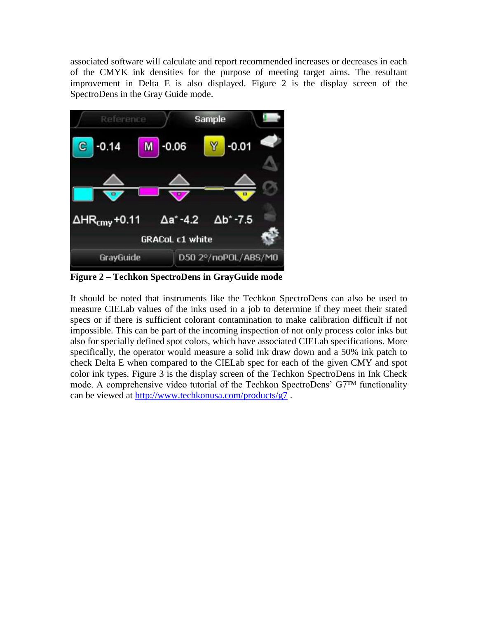associated software will calculate and report recommended increases or decreases in each of the CMYK ink densities for the purpose of meeting target aims. The resultant improvement in Delta E is also displayed. Figure 2 is the display screen of the SpectroDens in the Gray Guide mode.



**Figure 2 – Techkon SpectroDens in GrayGuide mode**

It should be noted that instruments like the Techkon SpectroDens can also be used to measure CIELab values of the inks used in a job to determine if they meet their stated specs or if there is sufficient colorant contamination to make calibration difficult if not impossible. This can be part of the incoming inspection of not only process color inks but also for specially defined spot colors, which have associated CIELab specifications. More specifically, the operator would measure a solid ink draw down and a 50% ink patch to check Delta E when compared to the CIELab spec for each of the given CMY and spot color ink types. Figure 3 is the display screen of the Techkon SpectroDens in Ink Check mode. A comprehensive video tutorial of the Techkon SpectroDens' G7™ functionality can be viewed at<http://www.techkonusa.com/products/g7> .